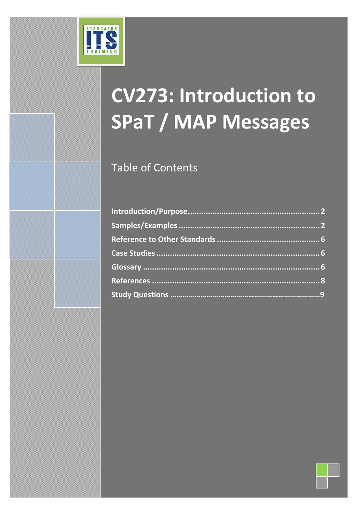

# **CV273: Introduction to SPaT / MAP Messages**

Table of Contents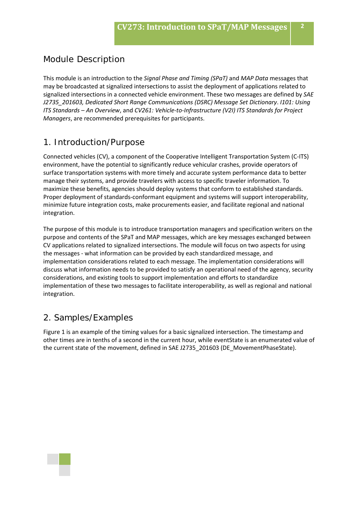## Module Description

This module is an introduction to the *Signal Phase and Timing (SPaT)* and *MAP Data* messages that may be broadcasted at signalized intersections to assist the deployment of applications related to signalized intersections in a connected vehicle environment. These two messages are defined by *SAE J2735\_201603, Dedicated Short Range Communications (DSRC) Message Set Dictionary*. *I101: Using ITS Standards – An Overview*, and *CV261: Vehicle-to-Infrastructure (V2I) ITS Standards for Project Managers*, are recommended prerequisites for participants.

#### 1. Introduction/Purpose

Connected vehicles (CV), a component of the Cooperative Intelligent Transportation System (C-ITS) environment, have the potential to significantly reduce vehicular crashes, provide operators of surface transportation systems with more timely and accurate system performance data to better manage their systems, and provide travelers with access to specific traveler information. To maximize these benefits, agencies should deploy systems that conform to established standards. Proper deployment of standards-conformant equipment and systems will support interoperability, minimize future integration costs, make procurements easier, and facilitate regional and national integration.

The purpose of this module is to introduce transportation managers and specification writers on the purpose and contents of the SPaT and MAP messages, which are key messages exchanged between CV applications related to signalized intersections. The module will focus on two aspects for using the messages - what information can be provided by each standardized message, and implementation considerations related to each message. The implementation considerations will discuss what information needs to be provided to satisfy an operational need of the agency, security considerations, and existing tools to support implementation and efforts to standardize implementation of these two messages to facilitate interoperability, as well as regional and national integration.

#### 2. Samples/Examples

[Figure 1](#page-2-0) is an example of the timing values for a basic signalized intersection. The timestamp and other times are in tenths of a second in the current hour, while eventState is an enumerated value of the current state of the movement, defined in SAE J2735\_201603 (DE\_MovementPhaseState).

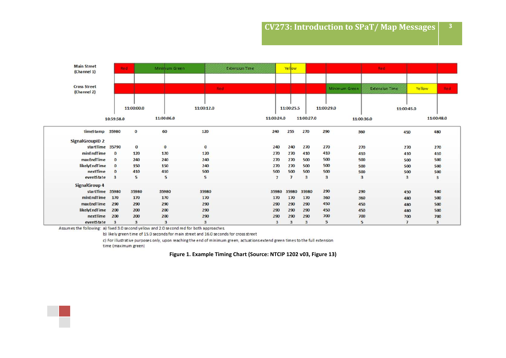| <b>Main Street</b><br>(Channel 1)  | Red:       |             | Minimum Green |            | Extension (une)          | Yellow         |            |                      |            | Red.                     |               |            |
|------------------------------------|------------|-------------|---------------|------------|--------------------------|----------------|------------|----------------------|------------|--------------------------|---------------|------------|
|                                    |            |             |               |            |                          |                |            |                      |            |                          |               |            |
| <b>Cross Street</b><br>(Channel 2) |            |             |               | <b>Red</b> |                          |                |            | <b>Minimum Green</b> |            | Extension <i>lime</i>    | <b>Yellow</b> | Red.       |
|                                    |            |             |               |            |                          |                |            |                      |            |                          |               |            |
|                                    |            | 11:00:00.0  |               | 11:00:12.0 |                          | 11:00:25.5     |            | 11:00:29.0           |            | 11:00:45.0               |               |            |
|                                    | 10:59:58.0 |             | 11:00:06.0    |            | 11:00:24.0               |                | 11:00:27.0 |                      | 11:00:36.0 |                          |               | 11:00:48.0 |
| timeStamp 35980                    |            | $\bf{0}$    | 60            | 120        | 240                      | 255            | 270        | 290                  | 360        | 450                      |               | 480        |
| <b>SignalGroupID 2</b>             |            |             |               |            |                          |                |            |                      |            |                          |               |            |
| startTime 35790                    |            | $\mathbf 0$ | $\bf{0}$      | $\bf{0}$   | 240                      | 240            | 270        | 270                  | 270        | 270                      |               | 270        |
| minEndTime                         | $\bf{0}$   | 120         | 120           | 120        | 270                      | 270            | 410        | 410                  | 410        | 410                      |               | 410        |
| maxEndTime                         | $\bf{0}$   | 240         | 240           | 240        | 270                      | 270            | 500        | 500                  | 500        | 500                      |               | 500        |
| likelyEndTime                      | $\bf{0}$   | 150         | 150           | 240        | 270                      | 270            | 500        | 500                  | 500        | 500                      |               | 500        |
| nextTime                           | $\bf{0}$   | 410         | 410           | 500        | 500                      | 500            | 500        | 500                  | 500        | 500                      |               | 500        |
| eventState                         | 3          | 5           | 5             | 5          | $\overline{\phantom{a}}$ | $\overline{7}$ | 3          | $\mathbf{3}$         | 3          | 3                        |               | 3          |
| <b>SignalGroup 4</b>               |            |             |               |            |                          |                |            |                      |            |                          |               |            |
| startTime 35980                    |            | 35980       | 35980         | 35980      | 35980                    | 35980          | 35980      | 290                  | 290        | 450                      |               | 480        |
| minEndTime                         | 170        | 170         | 170           | 170        | 170                      | 170            | 170        | 360                  | 360        | 480                      |               | 500        |
| maxEndTime                         | 290        | 290         | 290           | 290        | 290                      | 290            | 290        | 450                  | 450        | 480                      |               | 500        |
| likelyEndTime                      | 200        | 200         | 200           | 290        | 290                      | 290            | 290        | 450                  | 450        | 480                      |               | 500        |
| nextTime                           | 200        | 200         | 200           | 290        | 290                      | 290            | 290        | 700                  | 700        | 700                      |               | 700        |
| eventState                         | 3          | 3           | 3             | 3          | 3                        | 3              | 3          | 5                    | 5          | $\overline{\phantom{a}}$ |               | 3          |

Assumes the following: a) fixed 3.0 second yellow and 2.0 second red for both approaches.

b) likely green time of 15.0 seconds for main street and 16.0 seconds for cross street

c) For illustrative purposes only, upon reaching the end of minimum green, actuations extend green times to the full extension time (maximum green)

**Figure 1. Example Timing Chart (Source: NTCIP 1202 v03, Figure 13)**

<span id="page-2-0"></span>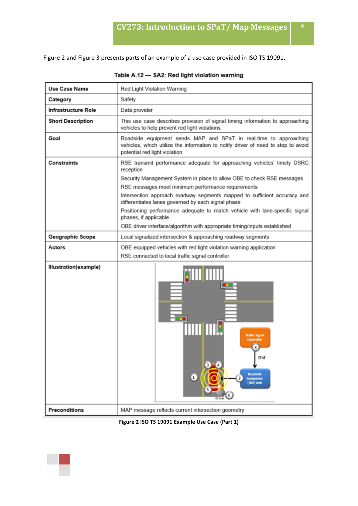[Figure 2](#page-3-0) an[d Figure 3](#page-4-0) presents parts of an example of a use case provided in ISO TS 19091.

| Use Case Name            | Red Light Violation Warning                                                                                                                                                             |  |  |  |
|--------------------------|-----------------------------------------------------------------------------------------------------------------------------------------------------------------------------------------|--|--|--|
| Category                 | Safety                                                                                                                                                                                  |  |  |  |
| Infrastructure Role      | Data provider                                                                                                                                                                           |  |  |  |
| <b>Short Description</b> | This use case describes provision of signal timing information to approaching<br>vehicles to help prevent red light violations                                                          |  |  |  |
| Goal                     | Roadside equipment sends MAP and SPaT in real-time to approaching<br>vehicles, which utilize the information to notify driver of need to stop to avoid<br>potential red light violation |  |  |  |
| <b>Constraints</b>       | RSE transmit performance adequate for approaching vehicles' timely DSRC<br>reception<br>Security Management System in place to allow OBE to check RSE messages                          |  |  |  |
|                          | RSE messages meet minimum performance requirements                                                                                                                                      |  |  |  |
|                          | Intersection approach roadway segments mapped to sufficient accuracy and<br>differentiates lanes governed by each signal phase                                                          |  |  |  |
|                          | Positioning performance adequate to match vehicle with lane-specific signal<br>phases, if applicable                                                                                    |  |  |  |
|                          | OBE driver interface/algorithm with appropriate timing/inputs established                                                                                                               |  |  |  |
| Geographic Scope         | Local signalized intersection & approaching roadway segments                                                                                                                            |  |  |  |
| Actors                   | OBE-equipped vehicles with red light violation warning application                                                                                                                      |  |  |  |
|                          | RSE connected to local traffic signal controller                                                                                                                                        |  |  |  |
| Illustration(example)    | <u>şimmin</u><br><b>Traffic Signal</b><br>Controller<br>$\mathbf{x}$<br>SPaT<br>Roadside<br>2<br><b>Equipment</b><br><b>RSE) Unit</b>                                                   |  |  |  |
| <b>Preconditions</b>     | MAP message reflects current intersection geometry                                                                                                                                      |  |  |  |

Table A.12 - SA2: Red light violation warning

<span id="page-3-0"></span>

**Figure 2 ISO TS 19091 Example Use Case (Part 1)**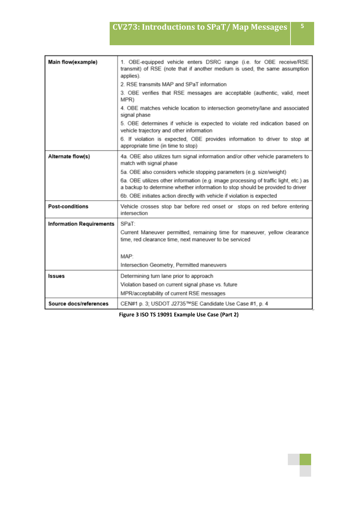| Main flow(example)              | 1. OBE-equipped vehicle enters DSRC range (i.e. for OBE receive/RSE<br>transmit) of RSE (note that if another medium is used, the same assumption<br>applies).         |
|---------------------------------|------------------------------------------------------------------------------------------------------------------------------------------------------------------------|
|                                 | 2. RSE transmits MAP and SPaT information                                                                                                                              |
|                                 | 3. OBE verifies that RSE messages are acceptable (authentic, valid, meet<br>MPR)                                                                                       |
|                                 | 4. OBE matches vehicle location to intersection geometry/lane and associated<br>signal phase                                                                           |
|                                 | 5. OBE determines if vehicle is expected to violate red indication based on<br>vehicle trajectory and other information                                                |
|                                 | 6. If violation is expected, OBE provides information to driver to stop at<br>appropriate time (in time to stop)                                                       |
| Alternate flow(s)               | 4a. OBE also utilizes turn signal information and/or other vehicle parameters to<br>match with signal phase                                                            |
|                                 | 5a. OBE also considers vehicle stopping parameters (e.g. size/weight)                                                                                                  |
|                                 | 6a. OBE utilizes other information (e.g. image processing of traffic light, etc.) as<br>a backup to determine whether information to stop should be provided to driver |
|                                 | 6b. OBE initiates action directly with vehicle if violation is expected                                                                                                |
| <b>Post-conditions</b>          | Vehicle crosses stop bar before red onset or stops on red before entering<br>intersection                                                                              |
| <b>Information Requirements</b> | SPaT:                                                                                                                                                                  |
|                                 | Current Maneuver permitted, remaining time for maneuver, yellow clearance<br>time, red clearance time, next maneuver to be serviced                                    |
|                                 | MAP:                                                                                                                                                                   |
|                                 | Intersection Geometry, Permitted maneuvers                                                                                                                             |
| <b>Issues</b>                   | Determining turn lane prior to approach                                                                                                                                |
|                                 | Violation based on current signal phase vs. future                                                                                                                     |
|                                 | MPR/acceptability of current RSE messages                                                                                                                              |
| Source docs/references          | CEN#1 p. 3; USDOT J2735™SE Candidate Use Case #1, p. 4                                                                                                                 |

<span id="page-4-0"></span>**Figure 3 ISO TS 19091 Example Use Case (Part 2)**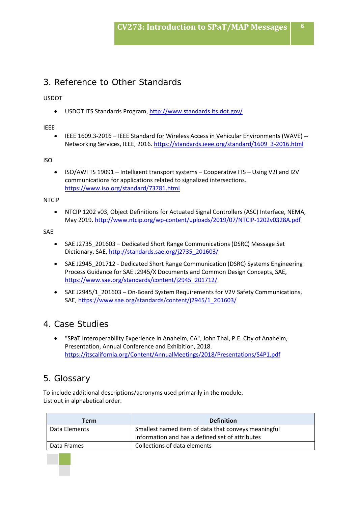## 3. Reference to Other Standards

USDOT

• USDOT ITS Standards Program[, http://www.standards.its.dot.gov/](http://www.standards.its.dot.gov/)

#### IEEE

• IEEE 1609.3-2016 – IEEE Standard for Wireless Access in Vehicular Environments (WAVE) -- Networking Services, IEEE, 2016. [https://standards.ieee.org/standard/1609\\_3-2016.html](https://standards.ieee.org/standard/1609_3-2016.html)

ISO

• ISO/AWI TS 19091 – Intelligent transport systems – Cooperative ITS – Using V2I and I2V communications for applications related to signalized intersections. <https://www.iso.org/standard/73781.html>

NTCIP

• NTCIP 1202 v03, Object Definitions for Actuated Signal Controllers (ASC) Interface, NEMA, May 2019[. http://www.ntcip.org/wp-content/uploads/2019/07/NTCIP-1202v0328A.pdf](http://www.ntcip.org/wp-content/uploads/2019/07/NTCIP-1202v0328A.pdf)

SAE

- SAE J2735 201603 Dedicated Short Range Communications (DSRC) Message Set Dictionary, SAE, [http://standards.sae.org/j2735\\_201603/](http://standards.sae.org/j2735_201603/)
- SAE J2945 201712 Dedicated Short Range Communication (DSRC) Systems Engineering Process Guidance for SAE J2945/X Documents and Common Design Concepts, SAE, [https://www.sae.org/standards/content/j2945\\_201712/](https://www.sae.org/standards/content/j2945_201712/)
- SAE J2945/1 201603 On-Board System Requirements for V2V Safety Communications, SAE, [https://www.sae.org/standards/content/j2945/1\\_201603/](https://www.sae.org/standards/content/j2945/1_201603/)

#### 4. Case Studies

• "SPaT Interoperability Experience in Anaheim, CA", John Thai, P.E. City of Anaheim, Presentation, Annual Conference and Exhibition, 2018. <https://itscalifornia.org/Content/AnnualMeetings/2018/Presentations/S4P1.pdf>

#### 5. Glossary

To include additional descriptions/acronyms used primarily in the module. List out in alphabetical order.

| Term          | <b>Definition</b>                                   |
|---------------|-----------------------------------------------------|
| Data Elements | Smallest named item of data that conveys meaningful |
|               | information and has a defined set of attributes     |
| Data Frames   | Collections of data elements                        |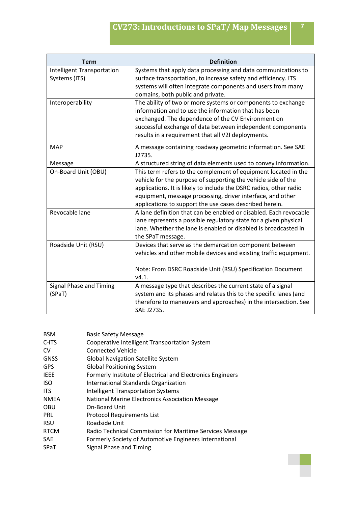| <b>Term</b>                                        | <b>Definition</b>                                                                                                                                                                                                                                                                                                              |
|----------------------------------------------------|--------------------------------------------------------------------------------------------------------------------------------------------------------------------------------------------------------------------------------------------------------------------------------------------------------------------------------|
| <b>Intelligent Transportation</b><br>Systems (ITS) | Systems that apply data processing and data communications to<br>surface transportation, to increase safety and efficiency. ITS<br>systems will often integrate components and users from many<br>domains, both public and private.                                                                                            |
| Interoperability                                   | The ability of two or more systems or components to exchange<br>information and to use the information that has been<br>exchanged. The dependence of the CV Environment on<br>successful exchange of data between independent components<br>results in a requirement that all V2I deployments.                                 |
| <b>MAP</b>                                         | A message containing roadway geometric information. See SAE<br>J2735.                                                                                                                                                                                                                                                          |
| Message                                            | A structured string of data elements used to convey information.                                                                                                                                                                                                                                                               |
| On-Board Unit (OBU)                                | This term refers to the complement of equipment located in the<br>vehicle for the purpose of supporting the vehicle side of the<br>applications. It is likely to include the DSRC radios, other radio<br>equipment, message processing, driver interface, and other<br>applications to support the use cases described herein. |
| Revocable lane                                     | A lane definition that can be enabled or disabled. Each revocable<br>lane represents a possible regulatory state for a given physical<br>lane. Whether the lane is enabled or disabled is broadcasted in<br>the SPaT message.                                                                                                  |
| Roadside Unit (RSU)                                | Devices that serve as the demarcation component between<br>vehicles and other mobile devices and existing traffic equipment.<br>Note: From DSRC Roadside Unit (RSU) Specification Document<br>V4.1.                                                                                                                            |
| Signal Phase and Timing<br>(SPaT)                  | A message type that describes the current state of a signal<br>system and its phases and relates this to the specific lanes (and<br>therefore to maneuvers and approaches) in the intersection. See<br>SAE J2735.                                                                                                              |

| <b>BSM</b>  | <b>Basic Safety Message</b>                                |
|-------------|------------------------------------------------------------|
| C-ITS       | Cooperative Intelligent Transportation System              |
| CV          | <b>Connected Vehicle</b>                                   |
| <b>GNSS</b> | <b>Global Navigation Satellite System</b>                  |
| GPS         | <b>Global Positioning System</b>                           |
| IEEE        | Formerly Institute of Electrical and Electronics Engineers |
| ISO         | <b>International Standards Organization</b>                |
| <b>ITS</b>  | <b>Intelligent Transportation Systems</b>                  |
| <b>NMEA</b> | National Marine Electronics Association Message            |
| OBU         | <b>On-Board Unit</b>                                       |
| PRL         | <b>Protocol Requirements List</b>                          |
| RSU         | Roadside Unit                                              |
| <b>RTCM</b> | Radio Technical Commission for Maritime Services Message   |
| SAE         | Formerly Society of Automotive Engineers International     |
| SPaT        | Signal Phase and Timing                                    |
|             |                                                            |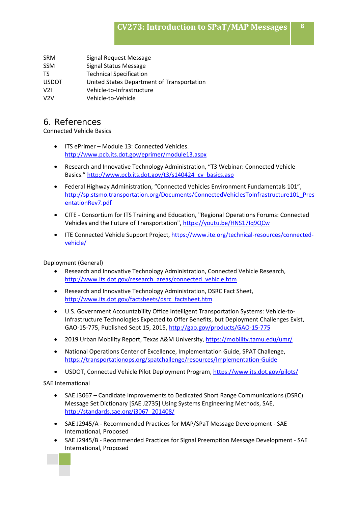SRM Signal Request Message SSM Signal Status Message TS Technical Specification USDOT United States Department of Transportation V2I Vehicle-to-Infrastructure V2V Vehicle-to-Vehicle

#### 6. References

Connected Vehicle Basics

- ITS ePrimer Module 13: Connected Vehicles. <http://www.pcb.its.dot.gov/eprimer/module13.aspx>
- Research and Innovative Technology Administration, "T3 Webinar: Connected Vehicle Basics." http://www.pcb.its.dot.gov/t3/s140424 cv\_basics.asp
- Federal Highway Administration, "Connected Vehicles Environment Fundamentals 101", [http://sp.stsmo.transportation.org/Documents/ConnectedVehiclesToInfrastructure101\\_Pres](http://sp.stsmo.transportation.org/Documents/ConnectedVehiclesToInfrastructure101_PresentationRev7.pdf) [entationRev7.pdf](http://sp.stsmo.transportation.org/Documents/ConnectedVehiclesToInfrastructure101_PresentationRev7.pdf)
- CITE Consortium for ITS Training and Education, "Regional Operations Forums: Connected Vehicles and the Future of Transportation"[, https://youtu.be/HNS17Iq9QCw](https://youtu.be/HNS17Iq9QCw)
- ITE Connected Vehicle Support Project, [https://www.ite.org/technical-resources/connected](https://www.ite.org/technical-resources/connected-vehicle/)[vehicle/](https://www.ite.org/technical-resources/connected-vehicle/)

Deployment (General)

- Research and Innovative Technology Administration, Connected Vehicle Research, [http://www.its.dot.gov/research\\_areas/connected\\_vehicle.htm](http://www.its.dot.gov/research_areas/connected_vehicle.htm)
- Research and Innovative Technology Administration, DSRC Fact Sheet, [http://www.its.dot.gov/factsheets/dsrc\\_factsheet.htm](http://www.its.dot.gov/factsheets/dsrc_factsheet.htm)
- U.S. Government Accountability Office Intelligent Transportation Systems: Vehicle-to-Infrastructure Technologies Expected to Offer Benefits, but Deployment Challenges Exist, GAO-15-775, Published Sept 15, 2015,<http://gao.gov/products/GAO-15-775>
- 2019 Urban Mobility Report, Texas A&M University,<https://mobility.tamu.edu/umr/>
- National Operations Center of Excellence, Implementation Guide, SPAT Challenge, <https://transportationops.org/spatchallenge/resources/Implementation-Guide>
- USDOT, Connected Vehicle Pilot Deployment Program[, https://www.its.dot.gov/pilots/](https://www.its.dot.gov/pilots/)

SAE International

- SAE J3067 Candidate Improvements to Dedicated Short Range Communications (DSRC) Message Set Dictionary [SAE J2735] Using Systems Engineering Methods, SAE, [http://standards.sae.org/j3067\\_201408/](http://standards.sae.org/j3067_201408/)
- SAE J2945/A Recommended Practices for MAP/SPaT Message Development SAE International, Proposed
- SAE J2945/B Recommended Practices for Signal Preemption Message Development SAE International, Proposed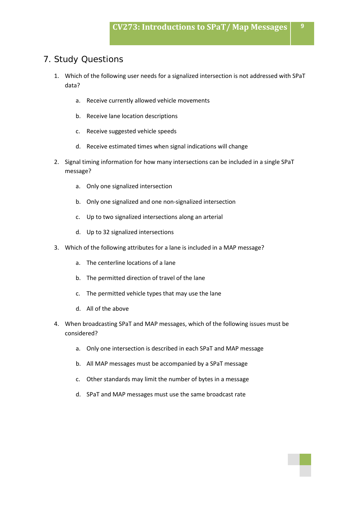#### 7. Study Questions

- 1. Which of the following user needs for a signalized intersection is not addressed with SPaT data?
	- a. Receive currently allowed vehicle movements
	- b. Receive lane location descriptions
	- c. Receive suggested vehicle speeds
	- d. Receive estimated times when signal indications will change
- 2. Signal timing information for how many intersections can be included in a single SPaT message?
	- a. Only one signalized intersection
	- b. Only one signalized and one non-signalized intersection
	- c. Up to two signalized intersections along an arterial
	- d. Up to 32 signalized intersections
- 3. Which of the following attributes for a lane is included in a MAP message?
	- a. The centerline locations of a lane
	- b. The permitted direction of travel of the lane
	- c. The permitted vehicle types that may use the lane
	- d. All of the above
- 4. When broadcasting SPaT and MAP messages, which of the following issues must be considered?
	- a. Only one intersection is described in each SPaT and MAP message
	- b. All MAP messages must be accompanied by a SPaT message
	- c. Other standards may limit the number of bytes in a message
	- d. SPaT and MAP messages must use the same broadcast rate